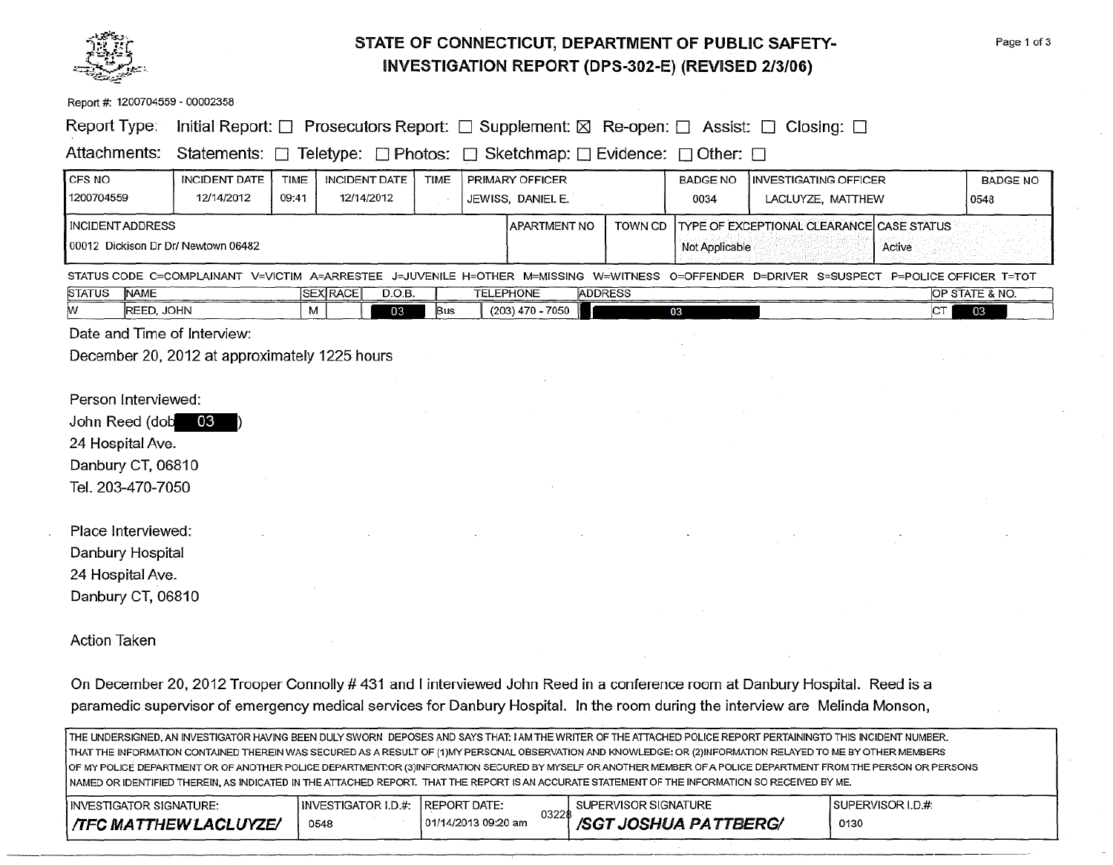

### **STATE OF CONNECTICUT, DEPARTMENT OF PUBLIC SAFETY-INVESTIGATION REPORT (DPS-302-E) (REVISED 2/3/06)**

Page 1 of 3

| Report #: 1200704559 - 00002358     |                                                                                                          |                                                     |           |  |                                                         |                |                         |                                                                                                                                           |    |                         |
|-------------------------------------|----------------------------------------------------------------------------------------------------------|-----------------------------------------------------|-----------|--|---------------------------------------------------------|----------------|-------------------------|-------------------------------------------------------------------------------------------------------------------------------------------|----|-------------------------|
| Report Type:                        | Initial Report: $\Box$ Prosecutors Report: $\Box$ Supplement: $\boxtimes$ Re-open: $\Box$ Assist: $\Box$ |                                                     |           |  |                                                         |                |                         | Closing: $\square$                                                                                                                        |    |                         |
| Attachments:                        | Statements: □ Teletype: □ Photos:                                                                        |                                                     |           |  | $\Box$ Sketchmap: $\Box$ Evidence: $\Box$ Other: $\Box$ |                |                         |                                                                                                                                           |    |                         |
| CFS NO<br>1200704559                | <b>INCIDENT DATE</b><br>12/14/2012                                                                       | <b>INCIDENT DATE</b><br>TIME<br>09:41<br>12/14/2012 | TIME      |  | PRIMARY OFFICER<br>JEWISS, DANIEL E.                    |                | <b>BADGE NO</b><br>0034 | <b>INVESTIGATING OFFICER</b><br>LACLUYZE, MATTHEW                                                                                         |    | <b>BADGE NO</b><br>0548 |
| <b>INCIDENT ADDRESS</b>             |                                                                                                          |                                                     |           |  | APARTMENT NO                                            | TOWN CD        |                         | TYPE OF EXCEPTIONAL CLEARANCE CASE STATUS                                                                                                 |    |                         |
| 00012 Dickison Dr Dr/ Newtown 06482 |                                                                                                          |                                                     |           |  |                                                         | Not Applicable |                         | Active                                                                                                                                    |    |                         |
|                                     |                                                                                                          |                                                     |           |  |                                                         |                |                         | STATUS CODE C=COMPLAINANT V=VICTIM A=ARRESTEE J=JUVENILE H=OTHER M=MISSING W=WITNESS O=OFFENDER D=DRIVER S=SUSPECT P=POLICE OFFICER T=TOT |    |                         |
| <b>STATUS</b><br><b>NAME</b>        |                                                                                                          | <b>SEX RACE</b>                                     | D.O.B.    |  | <b>ADDRESS</b><br><b>TELEPHONE</b>                      |                |                         |                                                                                                                                           |    | OP STATE & NO.          |
| REED, JOHN<br>w                     |                                                                                                          | м                                                   | 03<br>Bus |  | $(203)$ 470 - 7050                                      |                | 03                      |                                                                                                                                           | CT | 03                      |
| Date and Time of Interview:         |                                                                                                          |                                                     |           |  |                                                         |                |                         |                                                                                                                                           |    |                         |
|                                     | December 20, 2012 at approximately 1225 hours                                                            |                                                     |           |  |                                                         |                |                         |                                                                                                                                           |    |                         |
|                                     |                                                                                                          |                                                     |           |  |                                                         |                |                         |                                                                                                                                           |    |                         |
| Person Interviewed:                 |                                                                                                          |                                                     |           |  |                                                         |                |                         |                                                                                                                                           |    |                         |
| John Reed (dob 03                   |                                                                                                          |                                                     |           |  |                                                         |                |                         |                                                                                                                                           |    |                         |
| 24 Hospital Ave.                    |                                                                                                          |                                                     |           |  |                                                         |                |                         |                                                                                                                                           |    |                         |
| Danbury CT, 06810                   |                                                                                                          |                                                     |           |  |                                                         |                |                         |                                                                                                                                           |    |                         |
| Tel. 203-470-7050                   |                                                                                                          |                                                     |           |  |                                                         |                |                         |                                                                                                                                           |    |                         |
|                                     |                                                                                                          |                                                     |           |  |                                                         |                |                         |                                                                                                                                           |    |                         |
| Place Interviewed:                  |                                                                                                          |                                                     |           |  |                                                         |                |                         |                                                                                                                                           |    |                         |
| Danbury Hospital                    |                                                                                                          |                                                     |           |  |                                                         |                |                         |                                                                                                                                           |    |                         |
| 24 Hospital Ave.                    |                                                                                                          |                                                     |           |  |                                                         |                |                         |                                                                                                                                           |    |                         |
| Danbury CT, 06810                   |                                                                                                          |                                                     |           |  |                                                         |                |                         |                                                                                                                                           |    |                         |
|                                     |                                                                                                          |                                                     |           |  |                                                         |                |                         |                                                                                                                                           |    |                         |
| Action Taken                        |                                                                                                          |                                                     |           |  |                                                         |                |                         |                                                                                                                                           |    |                         |
|                                     |                                                                                                          |                                                     |           |  |                                                         |                |                         |                                                                                                                                           |    |                         |
|                                     |                                                                                                          |                                                     |           |  |                                                         |                |                         | On December 20, 2012 Trooper Connolly # 431 and I interviewed John Reed in a conference room at Danbury Hospital. Reed is a               |    |                         |
|                                     |                                                                                                          |                                                     |           |  |                                                         |                |                         | paramedic supervisor of emergency medical services for Danbury Hospital. In the room during the interview are Melinda Monson,             |    |                         |

THE UNDERSIGNED, AN INVESTIGATOR HAVING BEEN DULY SWORN DEPOSES AND SAYS THAT: I AM THE WRITER OF THE ATTACHED POLICE REPORT PERTAININGTO THIS INCIDENT NUMBER. THAT THE INFORMATION CONTAINED THEREIN WAS SECURED AS A RESULT OF (1)MY PERSONAL OBSERVATION AND KNOWLEDGE: OR (2)1NFORMATION RELAYED TO ME BY OTHER MEMBERS OF MY POLICE DEPARTMENT OR OF ANOTHER POLICE DEPARTMENT:OR (3)1NFORMATION SECURED BY MYSELF OR ANOTHER MEMBER OF A POLICE DEPARTMENT FROM THE PERSON OR PERSONS NAMED OR IDENTIFIED THEREIN, AS INDICATED IN THE ATIACHED REPORT. THAT THE REPORT IS AN ACCURATE STATEMENT OF THE INFORMATION SO RECEIVED BY ME.

| INVESTIGATOR SIGNATURE:      | IINVESTIGATOR I.D.#: | <b>IREPORT DATE:</b>          | SUPERVISOR SIGNATURE  | ISUPERVISOR LD.#. |
|------------------------------|----------------------|-------------------------------|-----------------------|-------------------|
| <b>TFC MATTHEW LACLUYZE/</b> | 0548                 | 03228<br>101/14/2013 09:20 am | /SGT JOSHUA PATTBERG/ | 0130              |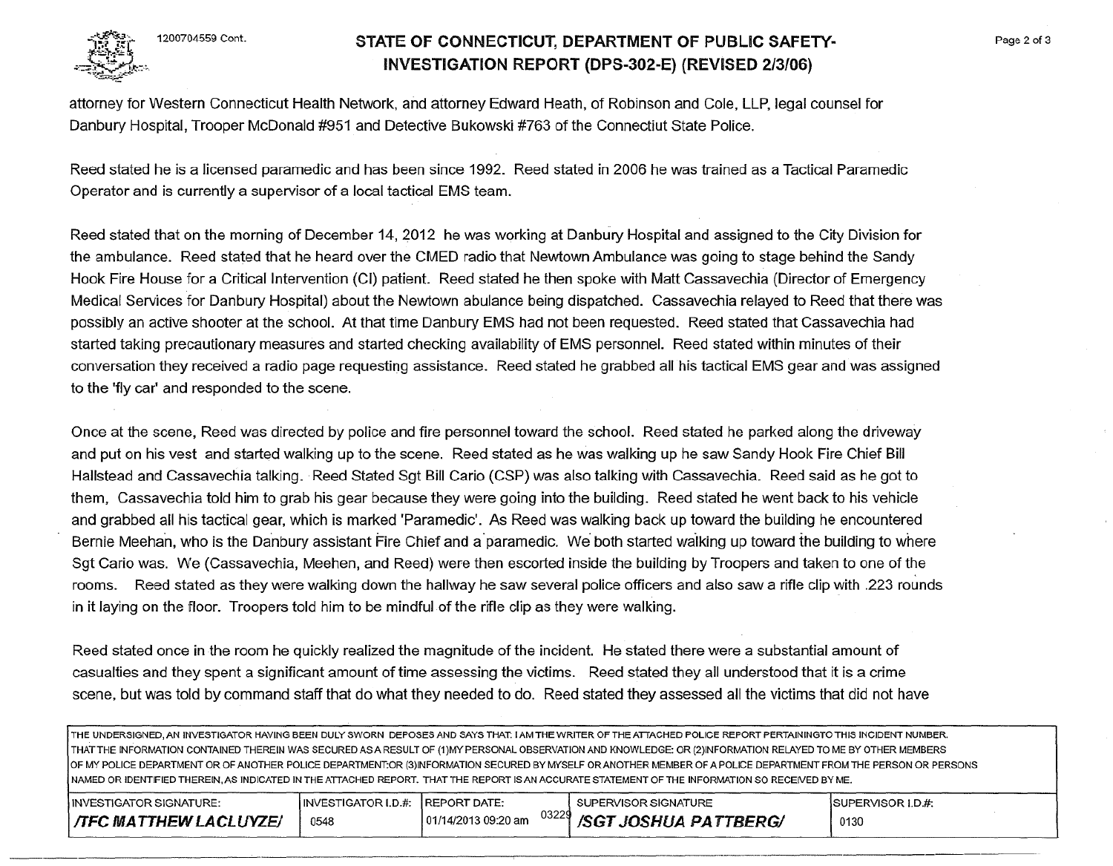

### 1200704559 Cont. STATE OF CONNECTICUT, DEPARTMENT OF PUBLIC SAFETY-INVESTIGATION REPORT (DPS-302-E) (REVISED 2/3/06)

attorney for Western Connecticut Health Network, and attorney Edward Heath, of Robinson and Cole, LLP, legal counsel for Danbury Hospital, Trooper McDonald #951 and Detective Bukowski #763 of the Connectiut State Police.

Reed stated he is a licensed paramedic and has been since 1992. Reed stated in 2006 he was trained as a Tactical Paramedic Operator and is currently a supervisor of a local tactical EMS team.

Reed stated that on the morning of December 14, 2012 he was working at Danbury Hospital and assigned to the City Division for the ambulance. Reed stated that he heard over the CMED radio that Newtown Ambulance was going to stage behind the Sandy Hook Fire House for a Critical Intervention (CI) patient. Reed stated he then spoke with Matt Cassavechia (Director of Emergency Medical Services for Danbury Hospital) about the Newtown abulance being dispatched. Cassavechia relayed to Reed that there was possibly an active shooter at the school. At that time Danbury EMS had not been requested. Reed stated that Cassavechia had started taking precautionary measures and started checking availability of EMS personnel. Reed stated within minutes of their conversation they received a radio page requesting assistance. Reed stated he grabbed all his tactical EMS gear and was assigned to the 'fly car' and responded to the scene.

Once at the scene, Reed was directed by police and fire personnel toward the school. Reed stated he parked along the driveway and put on his vest and started walking up to the scene. Reed stated as he was walking up he saw Sandy Hook Fire Chief Bill Hallstead and Cassavechia talking. Reed Stated Sgt Bill Cario (CSP) was also talking with Cassavechia. Reed said as he got to them, Cassavechia told him to grab his gear because they were going into the building. Reed stated he went back to his vehicle and grabbed all his tactical gear, which is marked 'Paramedic'. As Reed was walking back up toward the building he encountered Bernie Meehan, who is the Danbury assistant Fire Chief and a paramedic. We both started walking up toward the building to where Sgt Cario was. We (Cassavechia, Meehen, and Reed) were then escorted inside the building by Troopers and taken to one of the rooms. Reed stated as they were walking down the hallway he saw several police officers and also saw a rifle clip with .223 rounds in it laying on the floor. Troopers told him to be mindful of the rifle clip as they were walking.

Reed stated once in the room he quickly realized the magnitude of the incident. He stated there were a substantial amount of casualties and they spent a significant amount of time assessing the victims. Reed stated they all understood that it is a crime scene, but was told by command staff that do what they needed to do. Reed stated they assessed all the victims that did not have

THE UNDERSIGNED, AN INVESTIGATOR HAVING BEEN DULY SWORN DEPOSES AND SAYS THAT: lAM THE WRITER OF THE ATTACHED POLICE REPORT PERTAJNINGTO THIS INCIDENT NUMBER. THAT THE INFORMATION CONTAINED THEREIN WAS SECURED AS A RESULT OF (1)MY PERSONAL OBSERVATION AND KNOWLEDGE: OR (2)1NFORMATION RELAYED TO ME BY OTHER MEMBERS OF MY POLICE DEPARTMENT OR OF ANOTHER POLICE DEPARTMENT:OR (3)INFORMATION SECURED BY MYSELF OR ANOTHER MEMBER OF A POLICE DEPARTMENT FROM THE PERSON OR PERSONS NAMED OR IDENTIFIED THEREIN, AS INDICATED IN THE ATTACHED REPORT. THAT THE REPORT IS AN ACCURATE STATEMENT OF THE INFORMATION SO RECEIVED BY ME.

| <b>INVESTIGATOR SIGNATURE:</b> | INVESTIGATOR I.D.#: IREPORT DATE: |                      | SUPERVISOR SIGNATURE        | ISUPERVISOR I.D.#. |
|--------------------------------|-----------------------------------|----------------------|-----------------------------|--------------------|
| <b>TFC MATTHEW LACLUYZE/</b>   | 0548                              | 101/14/2013 09:20 am | 03229 /SGT JOSHUA PATTBERG/ | 0130               |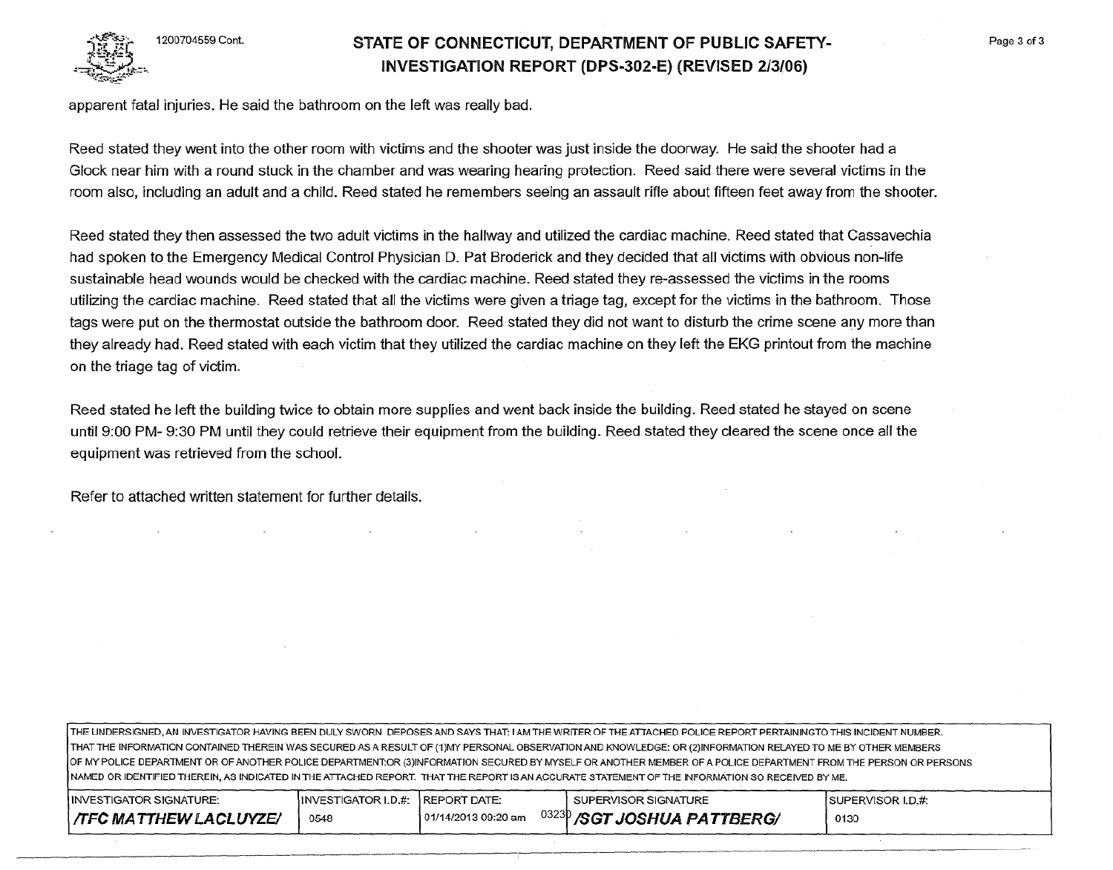

## **STATE OF CONNECTICUT, DEPARTMENT OF PUBLIC SAFETY-INVESTIGATION REPORT (DPS-302-E) (REVISED 213/06)**

apparent fatal injuries. He said the bathroom on the left was really bad.

Reed stated they went into the other room with victims and the shooter was just inside the doorway. He said the shooter had a Glock near him with a round stuck in the chamber and was wearing hearing protection. Reed said there were several victims in the room also, including an adult and a child. Reed stated he remembers seeing an assault rifle about fifteen feet away from the shooter.

Reed stated they then assessed the two adult victims in the hallway and utilized the cardiac machine. Reed stated that Cassavechia had spoken to the Emergency Medical Control Physician D. Pat Broderick and they decided that all victims with obvious non-life sustainable head wounds would be checked with the cardiac machine. Reed stated they re-assessed the victims in the rooms utilizing the cardiac machine. Reed stated that all the victims were given a triage tag, except for the victims in the bathroom. Those tags were put on the thermostat outside the bathroom door. Reed stated they did not want to disturb the crime scene any more than they already had. Reed stated with each victim that they utilized the cardiac machine on they left the EKG printout from the machine on the triage tag of victim.

Reed stated he left the building twice to obtain more supplies and went back inside the building. Reed stated he stayed on scene until 9:00PM- 9:30PM until they could retrieve their equipment from the building. Reed stated they cleared the scene once all the equipment was retrieved from the school.

Refer to attached written statement for further details.

THE UNDERSIGNED. AN INVESTIGATOR HAVING BEEN DULY SWORN DEPOSES AND SAYS THAT: I AM THE WRITER OF THE ATTACHED POLICE REPORT PERTAININGTO THIS INCIDENT NUMBER. THAT THE INFORMATION CONTAINED THEREIN WAS SECURED AS A RESULT OF (1)MY PERSONAL OBSERVATION AND KNOWLEDGE: OR (2)1NFORMATION RELAYED TO ME BY OTHER MEMBERS OF MY POLICE DEPARTMENT OR OF ANOTHER POLICE DEPARTMENT:OR (3)1NFORMATION SECURED BY MYSELF OR ANOTHER MEMBER OF A POLICE DEPARTMENT FROM THE PERSON OR PERSONS NAMED OR IDENTIFIED THEREIN, AS INDICATED IN THE ATTACHED REPORT. THAT THE REPORT IS AN ACCURATE STATEMENT OF THE INFORMATION SO RECEIVED BY ME.

| INVESTIGATOR SIGNATURE:      | INVESTIGATOR I.D.#: REPORT DATE: |                      | SUPERVISOR SIGNATURE                   | ISUPERVISOR I.D.#: |
|------------------------------|----------------------------------|----------------------|----------------------------------------|--------------------|
| <b>TFC MATTHEW LACLUYZE/</b> | 0548                             | 101/14/2013 09:20 am | <sup>0323</sup> P/SGT JOSHUA PATTBERG/ | 0130               |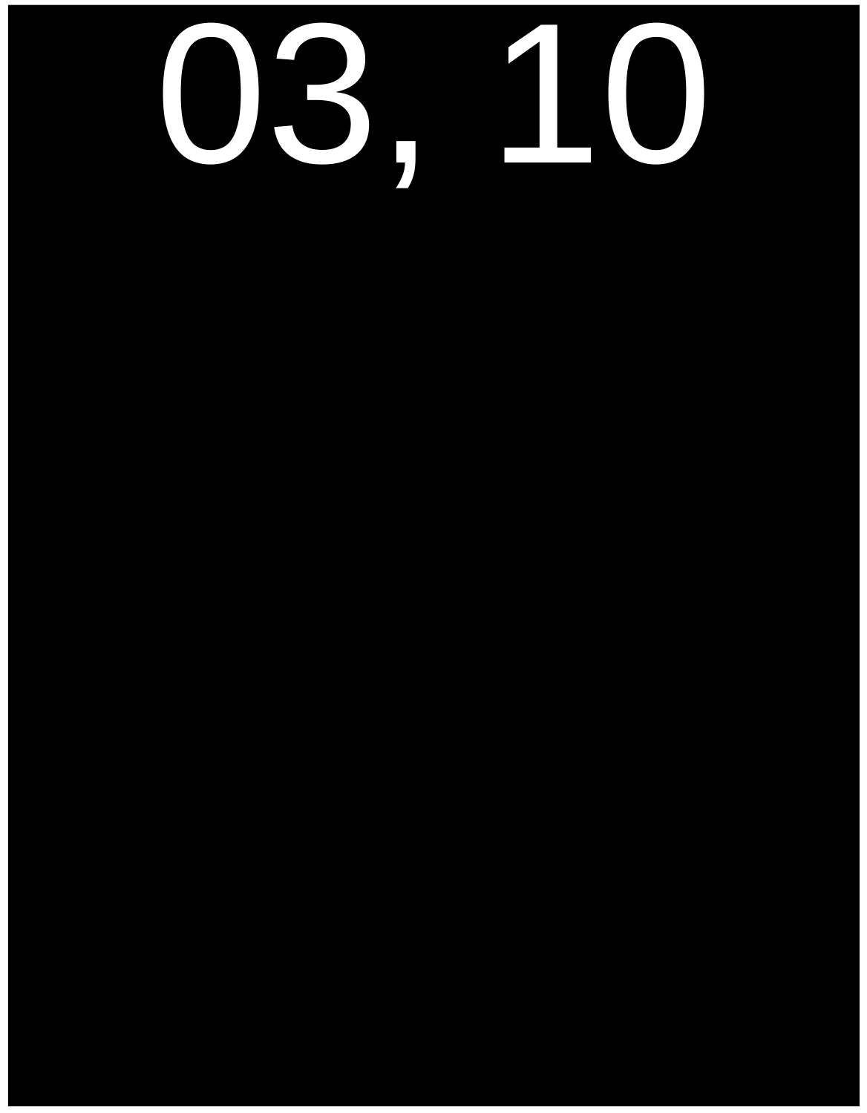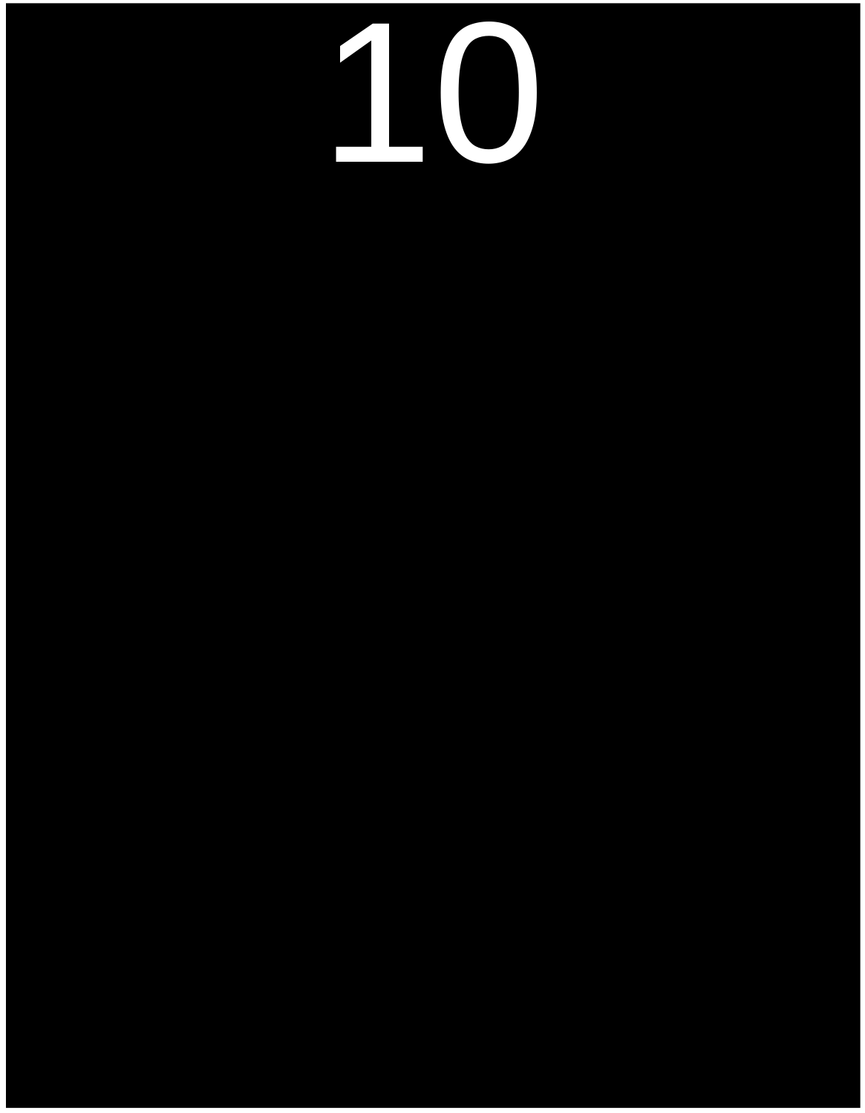#